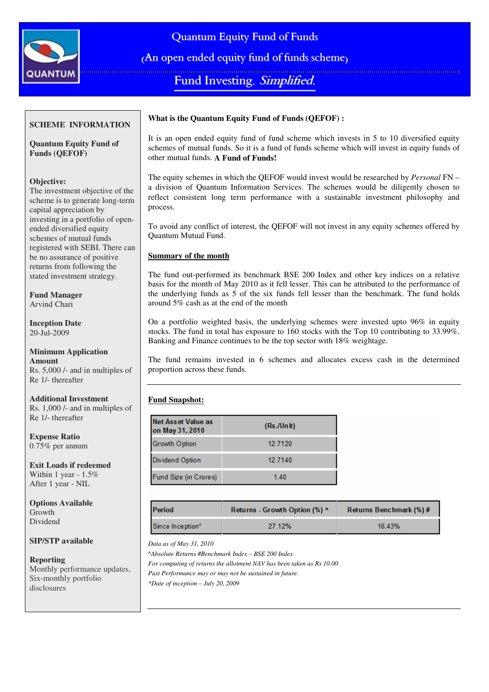

Quantum Equity Fund of Funds

(An open ended equity fund of funds scheme)

Fund Investing. Simplified.

# **SCHEME INFORMATION**

**Quantum Equity Fund of Funds (QEFOF)** 

# **Objective:**

The investment objective of the scheme is to generate long-term capital appreciation by investing in a portfolio of openended diversified equity schemes of mutual funds registered with SEBI. There can be no assurance of positive returns from following the stated investment strategy.

**Fund Manager**  Arvind Chari

**Inception Date**  20-Jul-2009

#### **Minimum Application Amount**  Rs. 5,000 /- and in multiples of Re 1/- thereafter

**Additional Investment**  Rs. 1,000 /- and in multiples of Re 1/- thereafter

**Expense Ratio**   $0.75\%$  per annum

**Exit Loads if redeemed**  Within 1 year - 1.5% After 1 year - NIL

**Options Available**  Growth Dividend

## **SIP/STP available**

**Reporting** 

Monthly performance updates, Six-monthly portfolio disclosures

# **What is the Quantum Equity Fund of Funds (QEFOF) :**

It is an open ended equity fund of fund scheme which invests in 5 to 10 diversified equity schemes of mutual funds. So it is a fund of funds scheme which will invest in equity funds of other mutual funds. **A Fund of Funds!**

The equity schemes in which the QEFOF would invest would be researched by *Personal* FN – a division of Quantum Information Services. The schemes would be diligently chosen to reflect consistent long term performance with a sustainable investment philosophy and process.

To avoid any conflict of interest, the QEFOF will not invest in any equity schemes offered by Quantum Mutual Fund.

# **Summary of the month**

The fund out-performed its benchmark BSE 200 Index and other key indices on a relative basis for the month of May 2010 as it fell lesser. This can be attributed to the performance of the underlying funds as 5 of the six funds fell lesser than the benchmark. The fund holds around 5% cash as at the end of the month

On a portfolio weighted basis, the underlying schemes were invested upto 96% in equity stocks. The fund in total has exposure to 160 stocks with the Top 10 contributing to 33.99%. Banking and Finance continues to be the top sector with 18% weightage.

The fund remains invested in 6 schemes and allocates excess cash in the determined proportion across these funds.

# **Fund Snapshot:**

| Net Asset Value as<br>on May 31, 2010 | (Rs./Unit) |  |
|---------------------------------------|------------|--|
| <b>Growth Option</b>                  | 12 7120    |  |
| Dividend Option                       | 12.7140    |  |
| Fund Size (in Crores)                 | 140        |  |

| <b>Period</b>    | Returns - Growth Option (%) ^ | Returns Benchmark (%) # |  |
|------------------|-------------------------------|-------------------------|--|
| Since Inception* | 27 12%                        | 16.43%                  |  |

*Data as of May 31, 2010* 

*^Absolute Returns #Benchmark Index – BSE 200 Index For computing of returns the allotment NAV has been taken as Rs 10.00. Past Performance may or may not be sustained in future. \*Date of inception – July 20, 2009*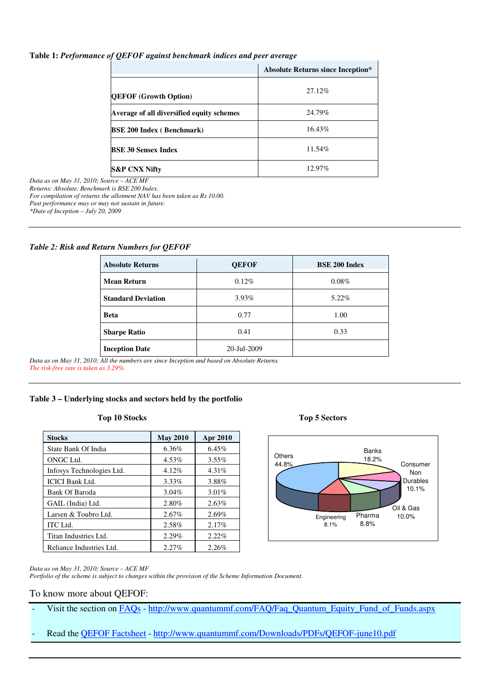## **Table 1:** *Performance of QEFOF against benchmark indices and peer average*

|                                           | <b>Absolute Returns since Inception*</b> |  |
|-------------------------------------------|------------------------------------------|--|
| <b>QEFOF (Growth Option)</b>              | 27.12%                                   |  |
| Average of all diversified equity schemes | 24.79%                                   |  |
| <b>BSE 200 Index (Benchmark)</b>          | 16.43%                                   |  |
| <b>BSE 30 Sensex Index</b>                | 11.54%                                   |  |
| <b>S&amp;P CNX Nifty</b>                  | 12.97%                                   |  |

*Data as on May 31, 2010; Source – ACE MF Returns: Absolute. Benchmark is BSE 200 Index.* 

*For compilation of returns the allotment NAV has been taken as Rs 10.00.* 

*Past performance may or may not sustain in future.* 

*\*Date of Inception – July 20, 2009* 

### *Table 2: Risk and Return Numbers for QEFOF*

| <b>Absolute Returns</b>   | <b>QEFOF</b> | <b>BSE 200 Index</b> |
|---------------------------|--------------|----------------------|
| <b>Mean Return</b>        | $0.12\%$     | $0.08\%$             |
| <b>Standard Deviation</b> | $3.93\%$     | 5.22%                |
| <b>Beta</b>               | 0.77         | 1.00                 |
| <b>Sharpe Ratio</b>       | 0.41         | 0.33                 |
| <b>Inception Date</b>     | 20-Jul-2009  |                      |

*Data as on May 31, 2010; All the numbers are since Inception and based on Absolute Returns. The risk-free rate is taken as 3.29%.*

# **Table 3 – Underlying stocks and sectors held by the portfolio**

### **Top 10 Stocks Top 5 Sectors**

| <b>Stocks</b>             | <b>May 2010</b> | Apr 2010 |
|---------------------------|-----------------|----------|
| State Bank Of India       | 6.36%           | 6.45%    |
| ONGC Ltd.                 | 4.53%           | $3.55\%$ |
| Infosys Technologies Ltd. | 4.12%           | 4.31%    |
| <b>ICICI Bank Ltd.</b>    | 3.33%           | 3.88%    |
| Bank Of Baroda            | $3.04\%$        | 3.01%    |
| GAIL (India) Ltd.         | 2.80%           | 2.63%    |
| Larsen & Toubro Ltd.      | 2.67%           | 2.69%    |
| <b>ITC</b> Ltd.           | 2.58%           | 2.17%    |
| Titan Industries Ltd.     | 2.29%           | 2.22%    |
| Reliance Industries Ltd.  | 2.27%           | 2.26%    |



#### *Data as on May 31, 2010; Source – ACE MF*

*Portfolio of the scheme is subject to changes within the provision of the Scheme Information Document.*

## To know more about QEFOF:

- Visit the section on FAQs http://www.quantummf.com/FAQ/Faq\_Quantum\_Equity\_Fund\_of\_Funds.aspx
- Read the **QEFOF Factsheet** http://www.quantummf.com/Downloads/PDFs/QEFOF-june10.pdf